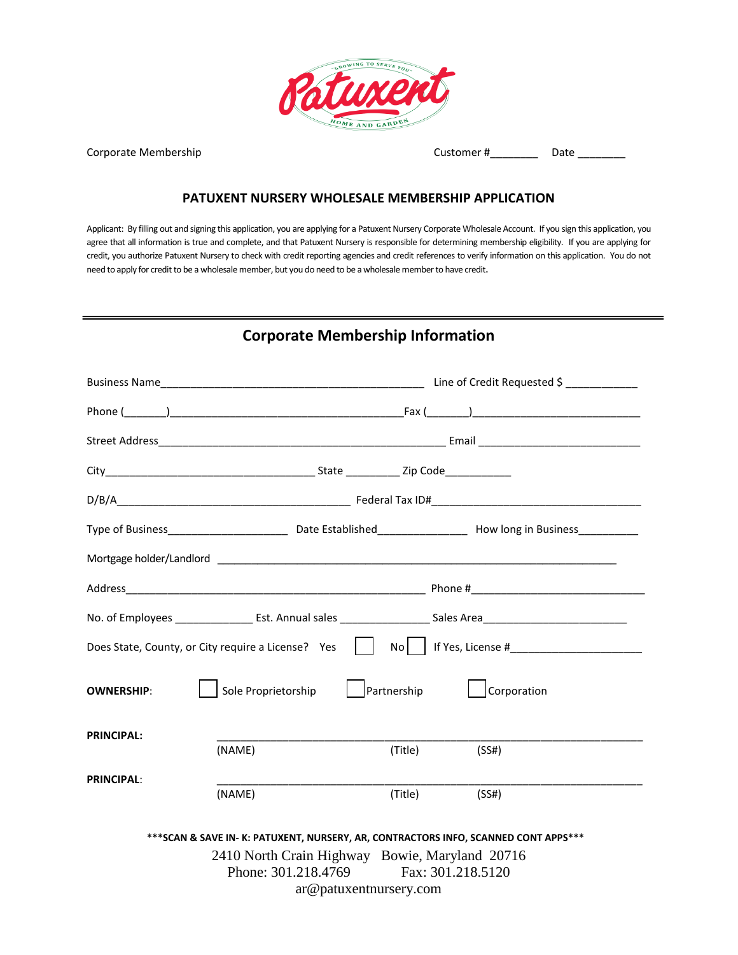

Corporate Membership and the contract of the Customer  $\sharp$  and  $\Box$  Date  $\Box$ 

#### **PATUXENT NURSERY WHOLESALE MEMBERSHIP APPLICATION**

Applicant: By filling out and signing this application, you are applying for a Patuxent Nursery Corporate Wholesale Account. If you sign this application, you agree that all information is true and complete, and that Patuxent Nursery is responsible for determining membership eligibility. If you are applying for credit, you authorize Patuxent Nursery to check with credit reporting agencies and credit references to verify information on this application. You do not need to apply for credit to be a wholesale member, but you do need to be a wholesale member to have credit.

#### **Corporate Membership Information**

|                   |                                                |                        | Type of Business_______________________________Date Established________________________How long in Business_________________ |
|-------------------|------------------------------------------------|------------------------|------------------------------------------------------------------------------------------------------------------------------|
|                   |                                                |                        |                                                                                                                              |
|                   |                                                |                        |                                                                                                                              |
|                   |                                                |                        |                                                                                                                              |
|                   |                                                |                        | Does State, County, or City require a License? Yes     No    If Yes, License #                                               |
| <b>OWNERSHIP:</b> | Sole Proprietorship                            | Partnership            | Corporation                                                                                                                  |
| <b>PRINCIPAL:</b> |                                                |                        |                                                                                                                              |
|                   | (NAME)                                         | (Title)                | (SS#)                                                                                                                        |
| <b>PRINCIPAL:</b> | (NAME)                                         | (Title)                | (SS#)                                                                                                                        |
|                   |                                                |                        | *** SCAN & SAVE IN- K: PATUXENT, NURSERY, AR, CONTRACTORS INFO, SCANNED CONT APPS***                                         |
|                   | 2410 North Crain Highway Bowie, Maryland 20716 |                        |                                                                                                                              |
|                   | Phone: 301.218.4769 Fax: 301.218.5120          |                        |                                                                                                                              |
|                   |                                                | ar@patuxentnursery.com |                                                                                                                              |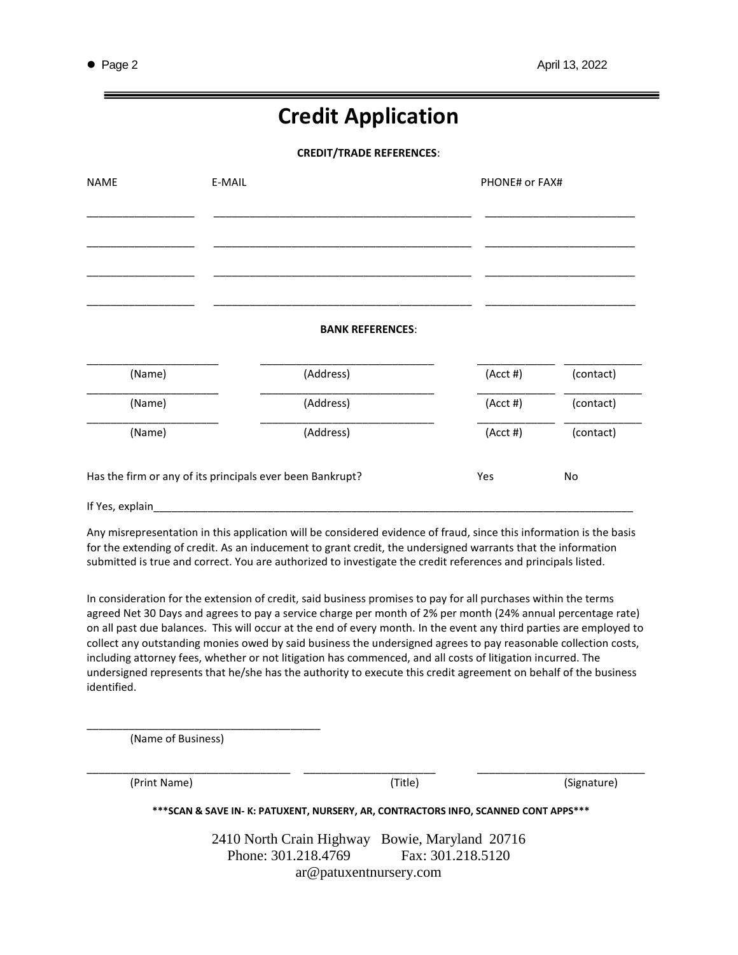## **Credit Application**

**CREDIT/TRADE REFERENCES**:

| <b>NAME</b>                                               | E-MAIL |                         | PHONE# or FAX# |           |
|-----------------------------------------------------------|--------|-------------------------|----------------|-----------|
|                                                           |        |                         |                |           |
|                                                           |        |                         |                |           |
|                                                           |        |                         |                |           |
|                                                           |        | <b>BANK REFERENCES:</b> |                |           |
| (Name)                                                    |        | (Address)               | $(Acct \#)$    | (contact) |
| (Name)                                                    |        | (Address)               | $(Acct \#)$    | (contact) |
| (Name)                                                    |        | (Address)               | $(Acct \#)$    | (contact) |
| Has the firm or any of its principals ever been Bankrupt? |        | Yes                     | No             |           |
|                                                           |        |                         |                |           |

for the extending of credit. As an inducement to grant credit, the undersigned warrants that the information submitted is true and correct. You are authorized to investigate the credit references and principals listed.

In consideration for the extension of credit, said business promises to pay for all purchases within the terms agreed Net 30 Days and agrees to pay a service charge per month of 2% per month (24% annual percentage rate) on all past due balances. This will occur at the end of every month. In the event any third parties are employed to collect any outstanding monies owed by said business the undersigned agrees to pay reasonable collection costs, including attorney fees, whether or not litigation has commenced, and all costs of litigation incurred. The undersigned represents that he/she has the authority to execute this credit agreement on behalf of the business identified.

(Name of Business)

\_\_\_\_\_\_\_\_\_\_\_\_\_\_\_\_\_\_\_\_\_\_\_\_\_\_\_\_\_\_\_\_\_\_\_\_\_\_\_

(Print Name) (Title) (Signature)

**\*\*\*SCAN & SAVE IN- K: PATUXENT, NURSERY, AR, CONTRACTORS INFO, SCANNED CONT APPS\*\*\***

\_\_\_\_\_\_\_\_\_\_\_\_\_\_\_\_\_\_\_\_\_\_\_\_\_\_\_\_\_\_\_\_\_\_ \_\_\_\_\_\_\_\_\_\_\_\_\_\_\_\_\_\_\_\_\_\_ \_\_\_\_\_\_\_\_\_\_\_\_\_\_\_\_\_\_\_\_\_\_\_\_\_\_\_\_

2410 North Crain Highway Bowie, Maryland 20716 Phone: 301.218.4769 Fax: 301.218.5120 ar@patuxentnursery.com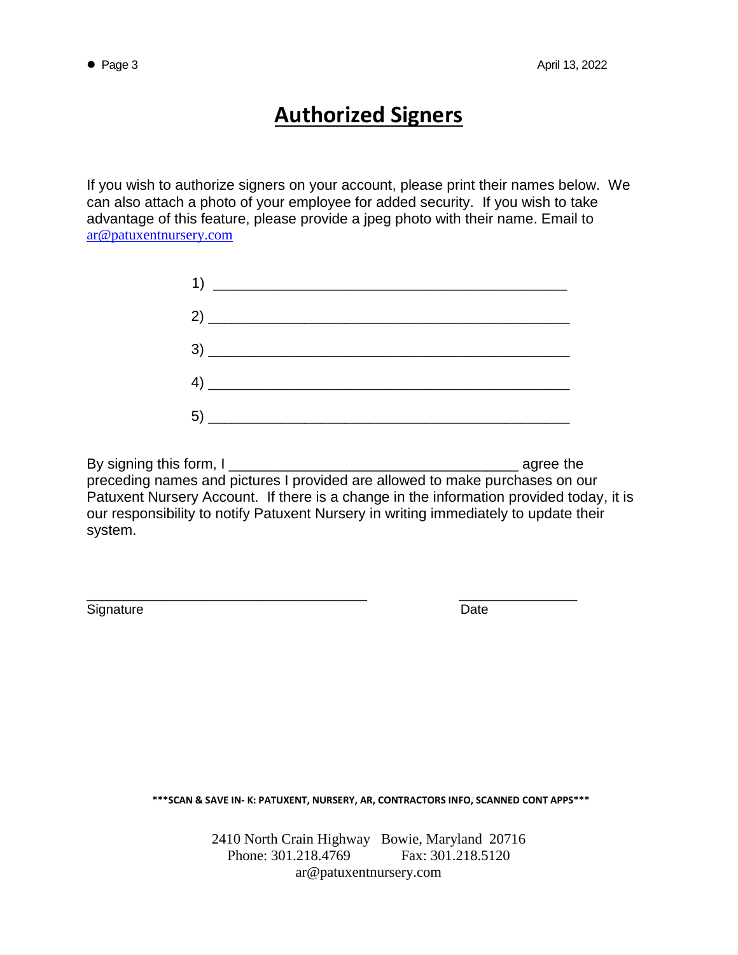# **Authorized Signers**

If you wish to authorize signers on your account, please print their names below. We can also attach a photo of your employee for added security. If you wish to take advantage of this feature, please provide a jpeg photo with their name. Email to [ar@patuxentnursery.com](mailto:ar@patuxentnursery.com)

| $\begin{tabular}{c} 3) \end{tabular}$ |  |
|---------------------------------------|--|
|                                       |  |
|                                       |  |

By signing this form, I preceding names and pictures I provided are allowed to make purchases on our Patuxent Nursery Account. If there is a change in the information provided today, it is our responsibility to notify Patuxent Nursery in writing immediately to update their system.

\_\_\_\_\_\_\_\_\_\_\_\_\_\_\_\_\_\_\_\_\_\_\_\_\_\_\_\_\_\_\_\_\_\_\_\_\_\_ \_\_\_\_\_\_\_\_\_\_\_\_\_\_\_\_

Signature Date **Date** 

**\*\*\*SCAN & SAVE IN- K: PATUXENT, NURSERY, AR, CONTRACTORS INFO, SCANNED CONT APPS\*\*\***

2410 North Crain Highway Bowie, Maryland 20716 Phone: 301.218.4769 Fax: 301.218.5120 ar@patuxentnursery.com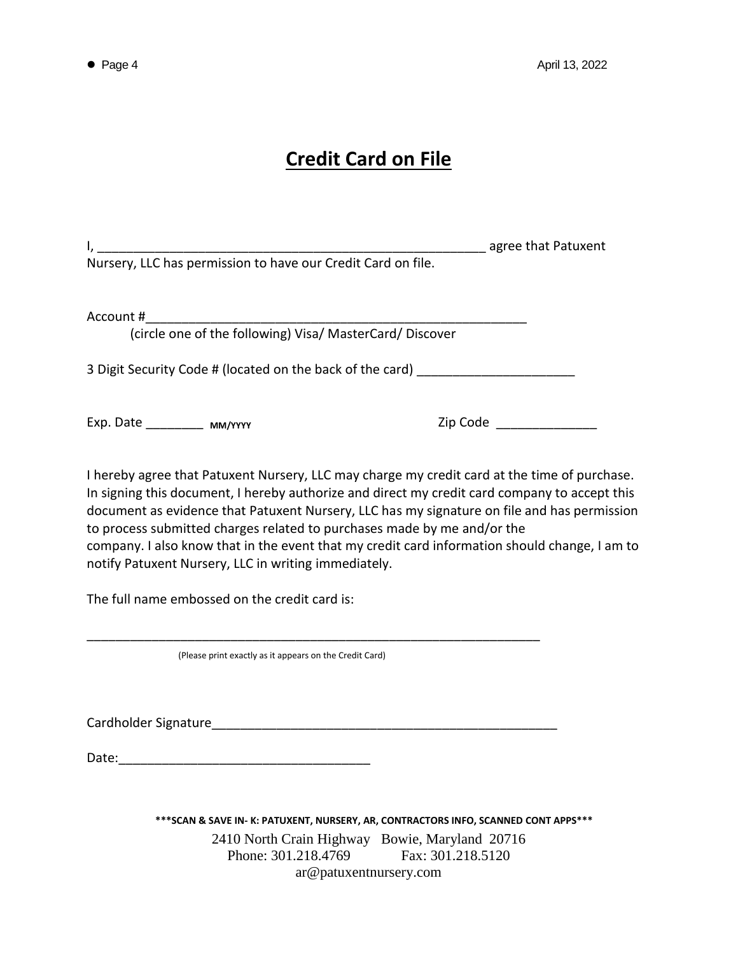# **Credit Card on File**

| I, 1. 1. 2010 agree that Patuxent Nursery, LLC has permission to have our Credit Card on file.                                                                                                                                                                                                                                                                                                                                                                                                                                   |                            |  |  |  |
|----------------------------------------------------------------------------------------------------------------------------------------------------------------------------------------------------------------------------------------------------------------------------------------------------------------------------------------------------------------------------------------------------------------------------------------------------------------------------------------------------------------------------------|----------------------------|--|--|--|
| Account #<br>(circle one of the following) Visa/ MasterCard/ Discover                                                                                                                                                                                                                                                                                                                                                                                                                                                            |                            |  |  |  |
| 3 Digit Security Code # (located on the back of the card) ______________________                                                                                                                                                                                                                                                                                                                                                                                                                                                 |                            |  |  |  |
| Exp. Date _____________ MM/YYYY                                                                                                                                                                                                                                                                                                                                                                                                                                                                                                  | Zip Code _________________ |  |  |  |
| I hereby agree that Patuxent Nursery, LLC may charge my credit card at the time of purchase.<br>In signing this document, I hereby authorize and direct my credit card company to accept this<br>document as evidence that Patuxent Nursery, LLC has my signature on file and has permission<br>to process submitted charges related to purchases made by me and/or the<br>company. I also know that in the event that my credit card information should change, I am to<br>notify Patuxent Nursery, LLC in writing immediately. |                            |  |  |  |
| The full name embossed on the credit card is:                                                                                                                                                                                                                                                                                                                                                                                                                                                                                    |                            |  |  |  |
| (Please print exactly as it appears on the Credit Card)                                                                                                                                                                                                                                                                                                                                                                                                                                                                          |                            |  |  |  |
|                                                                                                                                                                                                                                                                                                                                                                                                                                                                                                                                  |                            |  |  |  |
| Date:                                                                                                                                                                                                                                                                                                                                                                                                                                                                                                                            |                            |  |  |  |
| *** SCAN & SAVE IN- K: PATUXENT, NURSERY, AR, CONTRACTORS INFO, SCANNED CONT APPS***<br>2410 North Crain Highway Bowie, Maryland 20716<br>Phone: 301.218.4769                                                                                                                                                                                                                                                                                                                                                                    | Fax: 301.218.5120          |  |  |  |

ar@patuxentnursery.com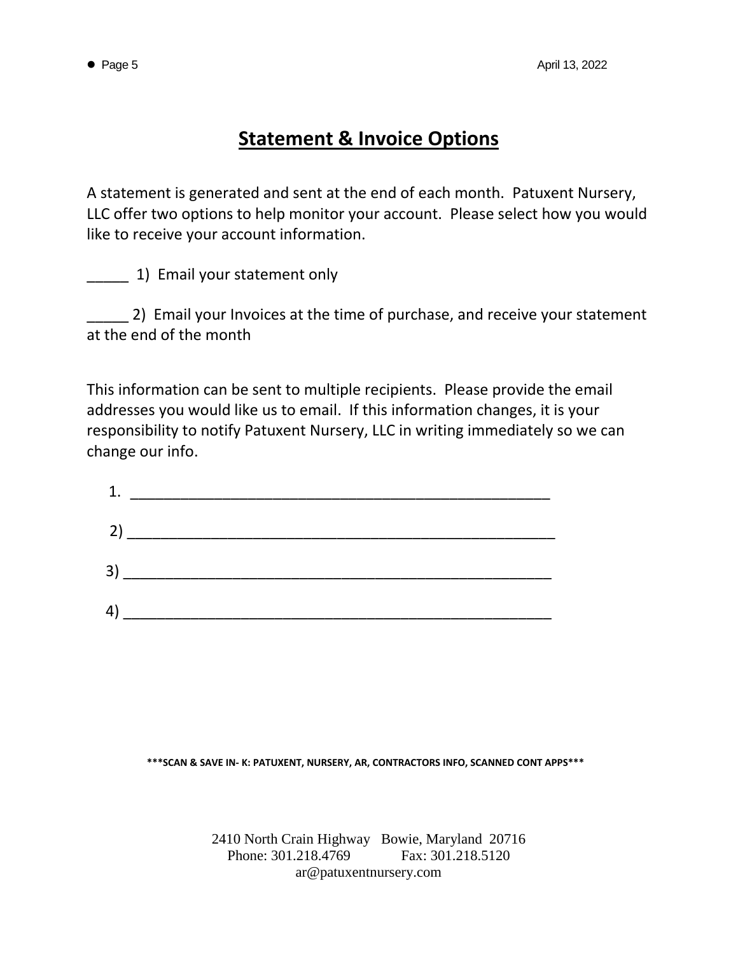#### **Statement & Invoice Options**

A statement is generated and sent at the end of each month. Patuxent Nursery, LLC offer two options to help monitor your account. Please select how you would like to receive your account information.

\_\_\_\_\_ 1) Email your statement only

**2) Email your Invoices at the time of purchase, and receive your statement** at the end of the month

This information can be sent to multiple recipients. Please provide the email addresses you would like us to email. If this information changes, it is your responsibility to notify Patuxent Nursery, LLC in writing immediately so we can change our info.

| 1.                                                                                                                                                                                                                                                                                                                                                                  |  |  |
|---------------------------------------------------------------------------------------------------------------------------------------------------------------------------------------------------------------------------------------------------------------------------------------------------------------------------------------------------------------------|--|--|
| 2) and the contract of $\sim$                                                                                                                                                                                                                                                                                                                                       |  |  |
| $\begin{picture}(20,10) \put(0,0){\vector(1,0){100}} \put(15,0){\vector(1,0){100}} \put(15,0){\vector(1,0){100}} \put(15,0){\vector(1,0){100}} \put(15,0){\vector(1,0){100}} \put(15,0){\vector(1,0){100}} \put(15,0){\vector(1,0){100}} \put(15,0){\vector(1,0){100}} \put(15,0){\vector(1,0){100}} \put(15,0){\vector(1,0){100}} \put(15,0){\vector(1,0){100}} \$ |  |  |
| 4) $\sim$                                                                                                                                                                                                                                                                                                                                                           |  |  |

**\*\*\*SCAN & SAVE IN- K: PATUXENT, NURSERY, AR, CONTRACTORS INFO, SCANNED CONT APPS\*\*\***

2410 North Crain Highway Bowie, Maryland 20716 Phone: 301.218.4769 Fax: 301.218.5120 ar@patuxentnursery.com